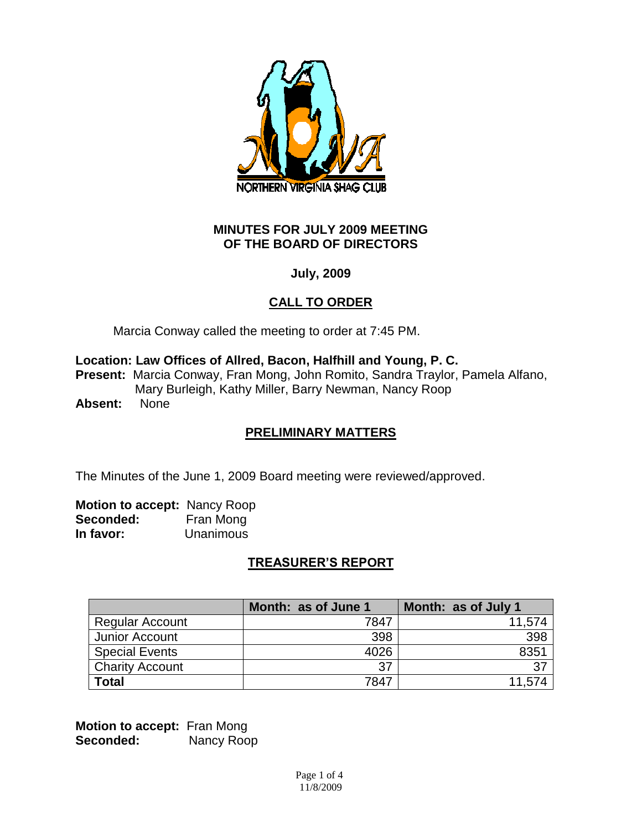

#### **MINUTES FOR JULY 2009 MEETING OF THE BOARD OF DIRECTORS**

## **July, 2009**

# **CALL TO ORDER**

Marcia Conway called the meeting to order at 7:45 PM.

**Location: Law Offices of Allred, Bacon, Halfhill and Young, P. C.**

**Present:** Marcia Conway, Fran Mong, John Romito, Sandra Traylor, Pamela Alfano, Mary Burleigh, Kathy Miller, Barry Newman, Nancy Roop

**Absent:** None

# **PRELIMINARY MATTERS**

The Minutes of the June 1, 2009 Board meeting were reviewed/approved.

**Motion to accept:** Nancy Roop **Seconded:** Fran Mong **In favor:** Unanimous

# **TREASURER'S REPORT**

|                        | Month: as of June 1 | Month: as of July 1 |
|------------------------|---------------------|---------------------|
| <b>Regular Account</b> | 7847                | 11,574              |
| Junior Account         | 398                 | 398                 |
| <b>Special Events</b>  | 4026                | 8351                |
| <b>Charity Account</b> | 37                  | 37                  |
| <b>Total</b>           | 7847                | 11,574              |

**Motion to accept:** Fran Mong Seconded: Nancy Roop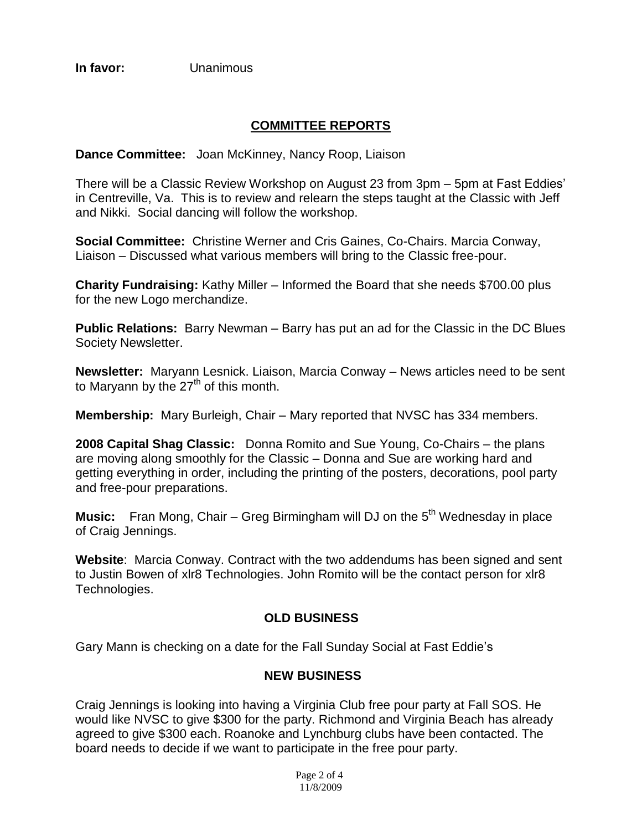**In favor:** Unanimous

# **COMMITTEE REPORTS**

**Dance Committee:** Joan McKinney, Nancy Roop, Liaison

There will be a Classic Review Workshop on August 23 from 3pm – 5pm at Fast Eddies' in Centreville, Va. This is to review and relearn the steps taught at the Classic with Jeff and Nikki. Social dancing will follow the workshop.

**Social Committee:** Christine Werner and Cris Gaines, Co-Chairs. Marcia Conway, Liaison – Discussed what various members will bring to the Classic free-pour.

**Charity Fundraising:** Kathy Miller – Informed the Board that she needs \$700.00 plus for the new Logo merchandize.

**Public Relations:** Barry Newman – Barry has put an ad for the Classic in the DC Blues Society Newsletter.

**Newsletter:** Maryann Lesnick. Liaison, Marcia Conway – News articles need to be sent to Maryann by the  $27<sup>th</sup>$  of this month.

**Membership:** Mary Burleigh, Chair – Mary reported that NVSC has 334 members.

**2008 Capital Shag Classic:** Donna Romito and Sue Young, Co-Chairs – the plans are moving along smoothly for the Classic – Donna and Sue are working hard and getting everything in order, including the printing of the posters, decorations, pool party and free-pour preparations.

**Music:** Fran Mong, Chair – Greg Birmingham will DJ on the 5<sup>th</sup> Wednesday in place of Craig Jennings.

**Website**: Marcia Conway. Contract with the two addendums has been signed and sent to Justin Bowen of xlr8 Technologies. John Romito will be the contact person for xlr8 Technologies.

### **OLD BUSINESS**

Gary Mann is checking on a date for the Fall Sunday Social at Fast Eddie's

### **NEW BUSINESS**

Craig Jennings is looking into having a Virginia Club free pour party at Fall SOS. He would like NVSC to give \$300 for the party. Richmond and Virginia Beach has already agreed to give \$300 each. Roanoke and Lynchburg clubs have been contacted. The board needs to decide if we want to participate in the free pour party.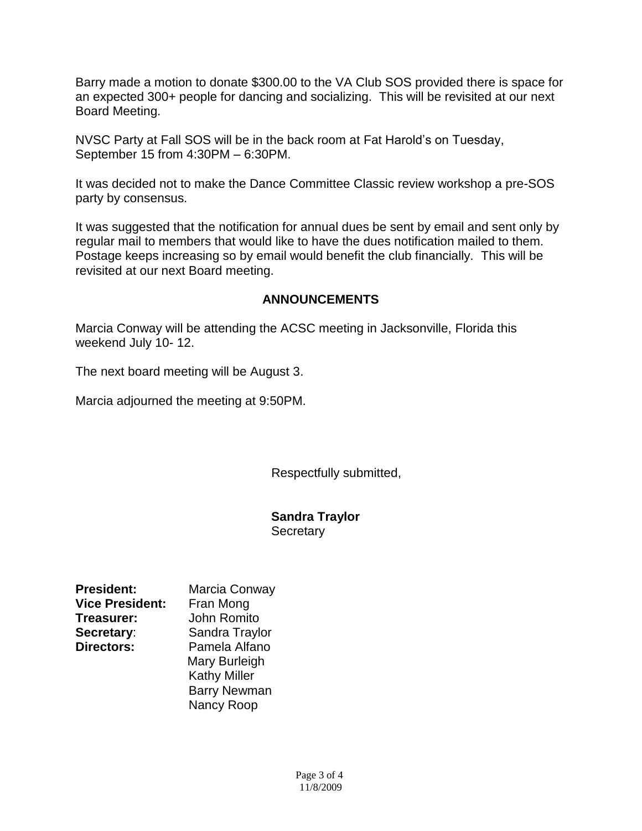Barry made a motion to donate \$300.00 to the VA Club SOS provided there is space for an expected 300+ people for dancing and socializing. This will be revisited at our next Board Meeting.

NVSC Party at Fall SOS will be in the back room at Fat Harold's on Tuesday, September 15 from 4:30PM – 6:30PM.

It was decided not to make the Dance Committee Classic review workshop a pre-SOS party by consensus.

It was suggested that the notification for annual dues be sent by email and sent only by regular mail to members that would like to have the dues notification mailed to them. Postage keeps increasing so by email would benefit the club financially. This will be revisited at our next Board meeting.

### **ANNOUNCEMENTS**

Marcia Conway will be attending the ACSC meeting in Jacksonville, Florida this weekend July 10- 12.

The next board meeting will be August 3.

Marcia adjourned the meeting at 9:50PM.

Respectfully submitted,

#### **Sandra Traylor Secretary**

| <b>President:</b>      | Marcia Conway       |
|------------------------|---------------------|
| <b>Vice President:</b> | Fran Mong           |
| Treasurer:             | <b>John Romito</b>  |
| Secretary:             | Sandra Traylor      |
| <b>Directors:</b>      | Pamela Alfano       |
|                        | Mary Burleigh       |
|                        | <b>Kathy Miller</b> |
|                        | <b>Barry Newman</b> |
|                        | Nancy Roop          |